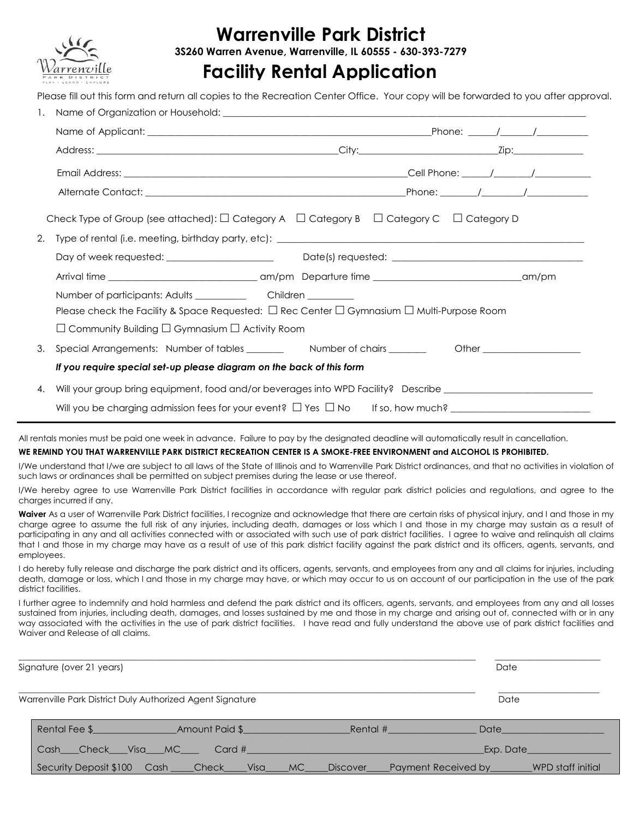

# **Warrenville Park District**

**3S260 Warren Avenue, Warrenville, IL 60555 - 630-393-7279**

## **Facility Rental Application**

Please fill out this form and return all copies to the Recreation Center Office. Your copy will be forwarded to you after approval.

|    | Check Type of Group (see attached): $\Box$ Category A $\Box$ Category B $\Box$ Category C $\Box$ Category D    |  |  |  |  |
|----|----------------------------------------------------------------------------------------------------------------|--|--|--|--|
|    |                                                                                                                |  |  |  |  |
|    |                                                                                                                |  |  |  |  |
|    |                                                                                                                |  |  |  |  |
|    |                                                                                                                |  |  |  |  |
|    | Please check the Facility & Space Requested: $\Box$ Rec Center $\Box$ Gymnasium $\Box$ Multi-Purpose Room      |  |  |  |  |
|    | $\Box$ Community Building $\Box$ Gymnasium $\Box$ Activity Room                                                |  |  |  |  |
| 3. | Special Arrangements: Number of tables __________ Number of chairs ________ Other _________________            |  |  |  |  |
|    | If you require special set-up please diagram on the back of this form                                          |  |  |  |  |
| 4. | Will your group bring equipment, food and/or beverages into WPD Facility? Describe ___________________________ |  |  |  |  |
|    |                                                                                                                |  |  |  |  |

All rentals monies must be paid one week in advance. Failure to pay by the designated deadline will automatically result in cancellation.

#### **WE REMIND YOU THAT WARRENVILLE PARK DISTRICT RECREATION CENTER IS A SMOKE-FREE ENVIRONMENT and ALCOHOL IS PROHIBITED.**

I/We understand that I/we are subject to all laws of the State of Illinois and to Warrenville Park District ordinances, and that no activities in violation of such laws or ordinances shall be permitted on subject premises during the lease or use thereof.

I/We hereby agree to use Warrenville Park District facilities in accordance with regular park district policies and regulations, and agree to the charges incurred if any.

Waiver As a user of Warrenville Park District facilities, I recognize and acknowledge that there are certain risks of physical injury, and I and those in my charge agree to assume the full risk of any injuries, including death, damages or loss which I and those in my charge may sustain as a result of participating in any and all activities connected with or associated with such use of park district facilities. I agree to waive and relinquish all claims that I and those in my charge may have as a result of use of this park district facility against the park district and its officers, agents, servants, and employees.

I do hereby fully release and discharge the park district and its officers, agents, servants, and employees from any and all claims for injuries, including death, damage or loss, which I and those in my charge may have, or which may occur to us on account of our participation in the use of the park district facilities.

I further agree to indemnify and hold harmless and defend the park district and its officers, agents, servants, and employees from any and all losses sustained from injuries, including death, damages, and losses sustained by me and those in my charge and arising out of, connected with or in any way associated with the activities in the use of park district facilities. I have read and fully understand the above use of park district facilities and Waiver and Release of all claims.

| Signature (over 21 years)                      |                                                           |                                                                                                               | Date                                                                                                           |
|------------------------------------------------|-----------------------------------------------------------|---------------------------------------------------------------------------------------------------------------|----------------------------------------------------------------------------------------------------------------|
|                                                | Warrenville Park District Duly Authorized Agent Signature |                                                                                                               | Date                                                                                                           |
|                                                |                                                           | Rental # 2008 - 2008 - 2014 - 2015 - 2016 - 2017 - 2018 - 2019 - 2019 - 2019 - 2019 - 2019 - 2019 - 2019 - 20 | Date <b>Date</b>                                                                                               |
| Cash Check Visa MC Card # 2000 Cash Check Visa |                                                           | Exp. Date                                                                                                     |                                                                                                                |
|                                                |                                                           |                                                                                                               | Security Deposit \$100 Cash ____Check____Visa____MC____Discover____Payment Received by_______WPD staff initial |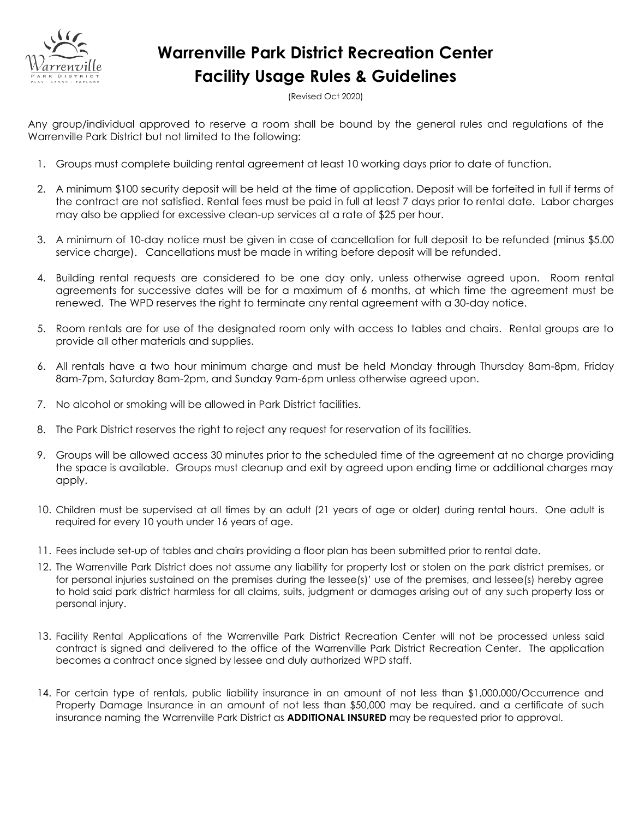

# **Warrenville Park District Recreation Center Facility Usage Rules & Guidelines**

(Revised Oct 2020)

Any group/individual approved to reserve a room shall be bound by the general rules and regulations of the Warrenville Park District but not limited to the following:

- 1. Groups must complete building rental agreement at least 10 working days prior to date of function.
- 2. A minimum \$100 security deposit will be held at the time of application. Deposit will be forfeited in full if terms of the contract are not satisfied. Rental fees must be paid in full at least 7 days prior to rental date. Labor charges may also be applied for excessive clean-up services at a rate of \$25 per hour.
- 3. A minimum of 10-day notice must be given in case of cancellation for full deposit to be refunded (minus \$5.00 service charge). Cancellations must be made in writing before deposit will be refunded.
- 4. Building rental requests are considered to be one day only, unless otherwise agreed upon. Room rental agreements for successive dates will be for a maximum of 6 months, at which time the agreement must be renewed. The WPD reserves the right to terminate any rental agreement with a 30-day notice.
- 5. Room rentals are for use of the designated room only with access to tables and chairs. Rental groups are to provide all other materials and supplies.
- 6. All rentals have a two hour minimum charge and must be held Monday through Thursday 8am-8pm, Friday 8am-7pm, Saturday 8am-2pm, and Sunday 9am-6pm unless otherwise agreed upon.
- 7. No alcohol or smoking will be allowed in Park District facilities.
- 8. The Park District reserves the right to reject any request for reservation of its facilities.
- 9. Groups will be allowed access 30 minutes prior to the scheduled time of the agreement at no charge providing the space is available. Groups must cleanup and exit by agreed upon ending time or additional charges may apply.
- 10. Children must be supervised at all times by an adult (21 years of age or older) during rental hours. One adult is required for every 10 youth under 16 years of age.
- 11. Fees include set-up of tables and chairs providing a floor plan has been submitted prior to rental date.
- 12. The Warrenville Park District does not assume any liability for property lost or stolen on the park district premises, or for personal injuries sustained on the premises during the lessee(s)' use of the premises, and lessee(s) hereby agree to hold said park district harmless for all claims, suits, judgment or damages arising out of any such property loss or personal injury.
- 13. Facility Rental Applications of the Warrenville Park District Recreation Center will not be processed unless said contract is signed and delivered to the office of the Warrenville Park District Recreation Center. The application becomes a contract once signed by lessee and duly authorized WPD staff.
- 14. For certain type of rentals, public liability insurance in an amount of not less than \$1,000,000/Occurrence and Property Damage Insurance in an amount of not less than \$50,000 may be required, and a certificate of such insurance naming the Warrenville Park District as **ADDITIONAL INSURED** may be requested prior to approval.